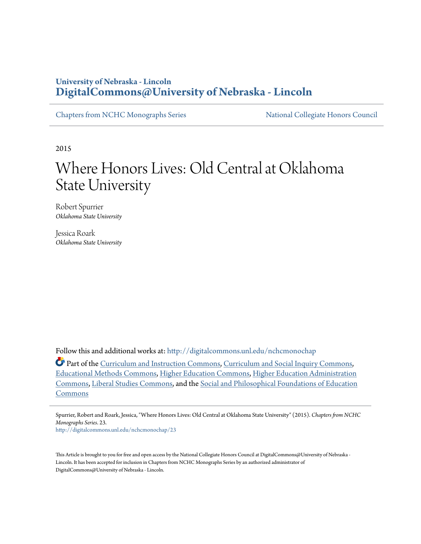## **University of Nebraska - Lincoln [DigitalCommons@University of Nebraska - Lincoln](http://digitalcommons.unl.edu?utm_source=digitalcommons.unl.edu%2Fnchcmonochap%2F23&utm_medium=PDF&utm_campaign=PDFCoverPages)**

[Chapters from NCHC Monographs Series](http://digitalcommons.unl.edu/nchcmonochap?utm_source=digitalcommons.unl.edu%2Fnchcmonochap%2F23&utm_medium=PDF&utm_campaign=PDFCoverPages) [National Collegiate Honors Council](http://digitalcommons.unl.edu/natlcollhonors?utm_source=digitalcommons.unl.edu%2Fnchcmonochap%2F23&utm_medium=PDF&utm_campaign=PDFCoverPages)

2015

# Where Honors Lives: Old Central at Oklahoma State University

Robert Spurrier *Oklahoma State University*

Jessica Roark *Oklahoma State University*

Follow this and additional works at: [http://digitalcommons.unl.edu/nchcmonochap](http://digitalcommons.unl.edu/nchcmonochap?utm_source=digitalcommons.unl.edu%2Fnchcmonochap%2F23&utm_medium=PDF&utm_campaign=PDFCoverPages)

Part of the [Curriculum and Instruction Commons](http://network.bepress.com/hgg/discipline/786?utm_source=digitalcommons.unl.edu%2Fnchcmonochap%2F23&utm_medium=PDF&utm_campaign=PDFCoverPages), [Curriculum and Social Inquiry Commons](http://network.bepress.com/hgg/discipline/1038?utm_source=digitalcommons.unl.edu%2Fnchcmonochap%2F23&utm_medium=PDF&utm_campaign=PDFCoverPages), [Educational Methods Commons,](http://network.bepress.com/hgg/discipline/1227?utm_source=digitalcommons.unl.edu%2Fnchcmonochap%2F23&utm_medium=PDF&utm_campaign=PDFCoverPages) [Higher Education Commons,](http://network.bepress.com/hgg/discipline/1245?utm_source=digitalcommons.unl.edu%2Fnchcmonochap%2F23&utm_medium=PDF&utm_campaign=PDFCoverPages) [Higher Education Administration](http://network.bepress.com/hgg/discipline/791?utm_source=digitalcommons.unl.edu%2Fnchcmonochap%2F23&utm_medium=PDF&utm_campaign=PDFCoverPages) [Commons,](http://network.bepress.com/hgg/discipline/791?utm_source=digitalcommons.unl.edu%2Fnchcmonochap%2F23&utm_medium=PDF&utm_campaign=PDFCoverPages) [Liberal Studies Commons,](http://network.bepress.com/hgg/discipline/1042?utm_source=digitalcommons.unl.edu%2Fnchcmonochap%2F23&utm_medium=PDF&utm_campaign=PDFCoverPages) and the [Social and Philosophical Foundations of Education](http://network.bepress.com/hgg/discipline/799?utm_source=digitalcommons.unl.edu%2Fnchcmonochap%2F23&utm_medium=PDF&utm_campaign=PDFCoverPages) [Commons](http://network.bepress.com/hgg/discipline/799?utm_source=digitalcommons.unl.edu%2Fnchcmonochap%2F23&utm_medium=PDF&utm_campaign=PDFCoverPages)

Spurrier, Robert and Roark, Jessica, "Where Honors Lives: Old Central at Oklahoma State University" (2015). *Chapters from NCHC Monographs Series*. 23.

[http://digitalcommons.unl.edu/nchcmonochap/23](http://digitalcommons.unl.edu/nchcmonochap/23?utm_source=digitalcommons.unl.edu%2Fnchcmonochap%2F23&utm_medium=PDF&utm_campaign=PDFCoverPages)

This Article is brought to you for free and open access by the National Collegiate Honors Council at DigitalCommons@University of Nebraska - Lincoln. It has been accepted for inclusion in Chapters from NCHC Monographs Series by an authorized administrator of DigitalCommons@University of Nebraska - Lincoln.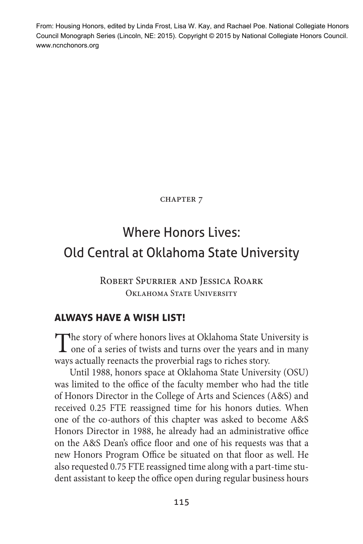From: Housing Honors, edited by Linda Frost, Lisa W. Kay, and Rachael Poe. National Collegiate Honors Council Monograph Series (Lincoln, NE: 2015). Copyright © 2015 by National Collegiate Honors Council. www.ncnchonors.org

**CHAPTER 7** 

# Where Honors Lives: Old Central at Oklahoma State University

Robert Spurrier and Jessica Roark Oklahoma State University

#### **always have a wish list!**

The story of where honors lives at Oklahoma State University is **L** one of a series of twists and turns over the years and in many ways actually reenacts the proverbial rags to riches story.

Until 1988, honors space at Oklahoma State University (OSU) was limited to the office of the faculty member who had the title of Honors Director in the College of Arts and Sciences (A&S) and received 0.25 FTE reassigned time for his honors duties. When one of the co-authors of this chapter was asked to become A&S Honors Director in 1988, he already had an administrative office on the A&S Dean's office floor and one of his requests was that a new Honors Program Office be situated on that floor as well. He also requested 0.75 FTE reassigned time along with a part-time student assistant to keep the office open during regular business hours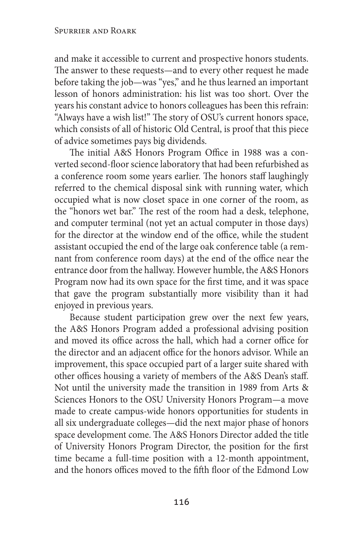and make it accessible to current and prospective honors students. The answer to these requests—and to every other request he made before taking the job—was "yes," and he thus learned an important lesson of honors administration: his list was too short. Over the years his constant advice to honors colleagues has been this refrain: "Always have a wish list!" The story of OSU's current honors space, which consists of all of historic Old Central, is proof that this piece of advice sometimes pays big dividends.

The initial A&S Honors Program Office in 1988 was a converted second-floor science laboratory that had been refurbished as a conference room some years earlier. The honors staff laughingly referred to the chemical disposal sink with running water, which occupied what is now closet space in one corner of the room, as the "honors wet bar." The rest of the room had a desk, telephone, and computer terminal (not yet an actual computer in those days) for the director at the window end of the office, while the student assistant occupied the end of the large oak conference table (a remnant from conference room days) at the end of the office near the entrance door from the hallway. However humble, the A&S Honors Program now had its own space for the first time, and it was space that gave the program substantially more visibility than it had enjoyed in previous years.

Because student participation grew over the next few years, the A&S Honors Program added a professional advising position and moved its office across the hall, which had a corner office for the director and an adjacent office for the honors advisor. While an improvement, this space occupied part of a larger suite shared with other offices housing a variety of members of the A&S Dean's staff. Not until the university made the transition in 1989 from Arts & Sciences Honors to the OSU University Honors Program—a move made to create campus-wide honors opportunities for students in all six undergraduate colleges—did the next major phase of honors space development come. The A&S Honors Director added the title of University Honors Program Director, the position for the first time became a full-time position with a 12-month appointment, and the honors offices moved to the fifth floor of the Edmond Low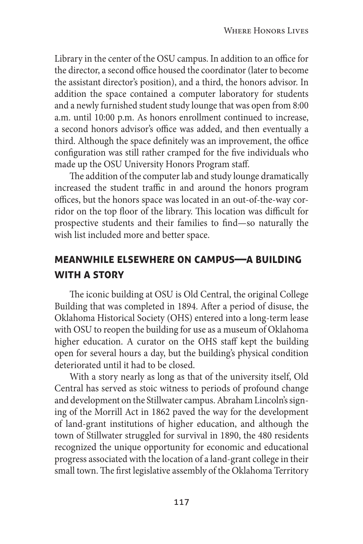Library in the center of the OSU campus. In addition to an office for the director, a second office housed the coordinator (later to become the assistant director's position), and a third, the honors advisor. In addition the space contained a computer laboratory for students and a newly furnished student study lounge that was open from 8:00 a.m. until 10:00 p.m. As honors enrollment continued to increase, a second honors advisor's office was added, and then eventually a third. Although the space definitely was an improvement, the office configuration was still rather cramped for the five individuals who made up the OSU University Honors Program staff.

The addition of the computer lab and study lounge dramatically increased the student traffic in and around the honors program offices, but the honors space was located in an out-of-the-way corridor on the top floor of the library. This location was difficult for prospective students and their families to find—so naturally the wish list included more and better space.

### **meanwhile elsewhere on campus—a building with a story**

The iconic building at OSU is Old Central, the original College Building that was completed in 1894. After a period of disuse, the Oklahoma Historical Society (OHS) entered into a long-term lease with OSU to reopen the building for use as a museum of Oklahoma higher education. A curator on the OHS staff kept the building open for several hours a day, but the building's physical condition deteriorated until it had to be closed.

With a story nearly as long as that of the university itself, Old Central has served as stoic witness to periods of profound change and development on the Stillwater campus. Abraham Lincoln's signing of the Morrill Act in 1862 paved the way for the development of land-grant institutions of higher education, and although the town of Stillwater struggled for survival in 1890, the 480 residents recognized the unique opportunity for economic and educational progress associated with the location of a land-grant college in their small town. The first legislative assembly of the Oklahoma Territory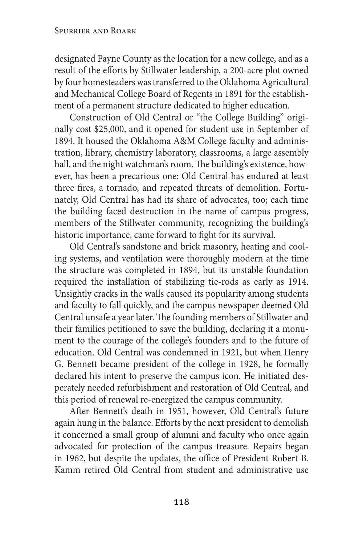designated Payne County as the location for a new college, and as a result of the efforts by Stillwater leadership, a 200-acre plot owned by four homesteaders was transferred to the Oklahoma Agricultural and Mechanical College Board of Regents in 1891 for the establishment of a permanent structure dedicated to higher education.

Construction of Old Central or "the College Building" originally cost \$25,000, and it opened for student use in September of 1894. It housed the Oklahoma A&M College faculty and administration, library, chemistry laboratory, classrooms, a large assembly hall, and the night watchman's room. The building's existence, however, has been a precarious one: Old Central has endured at least three fires, a tornado, and repeated threats of demolition. Fortunately, Old Central has had its share of advocates, too; each time the building faced destruction in the name of campus progress, members of the Stillwater community, recognizing the building's historic importance, came forward to fight for its survival.

Old Central's sandstone and brick masonry, heating and cooling systems, and ventilation were thoroughly modern at the time the structure was completed in 1894, but its unstable foundation required the installation of stabilizing tie-rods as early as 1914. Unsightly cracks in the walls caused its popularity among students and faculty to fall quickly, and the campus newspaper deemed Old Central unsafe a year later. The founding members of Stillwater and their families petitioned to save the building, declaring it a monument to the courage of the college's founders and to the future of education. Old Central was condemned in 1921, but when Henry G. Bennett became president of the college in 1928, he formally declared his intent to preserve the campus icon. He initiated desperately needed refurbishment and restoration of Old Central, and this period of renewal re-energized the campus community.

After Bennett's death in 1951, however, Old Central's future again hung in the balance. Efforts by the next president to demolish it concerned a small group of alumni and faculty who once again advocated for protection of the campus treasure. Repairs began in 1962, but despite the updates, the office of President Robert B. Kamm retired Old Central from student and administrative use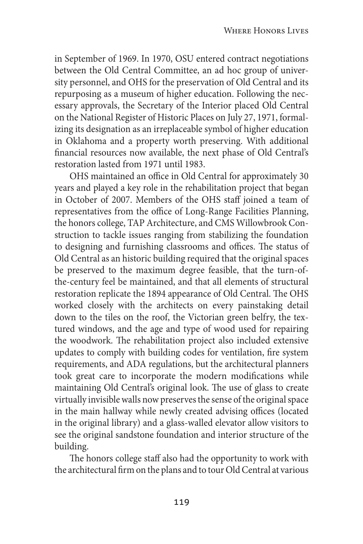in September of 1969. In 1970, OSU entered contract negotiations between the Old Central Committee, an ad hoc group of university personnel, and OHS for the preservation of Old Central and its repurposing as a museum of higher education. Following the necessary approvals, the Secretary of the Interior placed Old Central on the National Register of Historic Places on July 27, 1971, formalizing its designation as an irreplaceable symbol of higher education in Oklahoma and a property worth preserving. With additional financial resources now available, the next phase of Old Central's restoration lasted from 1971 until 1983.

OHS maintained an office in Old Central for approximately 30 years and played a key role in the rehabilitation project that began in October of 2007. Members of the OHS staff joined a team of representatives from the office of Long-Range Facilities Planning, the honors college, TAP Architecture, and CMS Willowbrook Construction to tackle issues ranging from stabilizing the foundation to designing and furnishing classrooms and offices. The status of Old Central as an historic building required that the original spaces be preserved to the maximum degree feasible, that the turn-ofthe-century feel be maintained, and that all elements of structural restoration replicate the 1894 appearance of Old Central. The OHS worked closely with the architects on every painstaking detail down to the tiles on the roof, the Victorian green belfry, the textured windows, and the age and type of wood used for repairing the woodwork. The rehabilitation project also included extensive updates to comply with building codes for ventilation, fire system requirements, and ADA regulations, but the architectural planners took great care to incorporate the modern modifications while maintaining Old Central's original look. The use of glass to create virtually invisible walls now preserves the sense of the original space in the main hallway while newly created advising offices (located in the original library) and a glass-walled elevator allow visitors to see the original sandstone foundation and interior structure of the building.

The honors college staff also had the opportunity to work with the architectural firm on the plans and to tour Old Central at various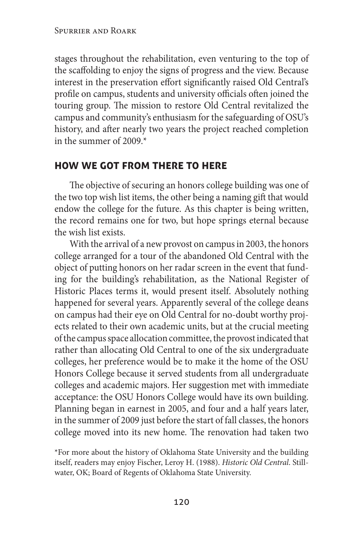stages throughout the rehabilitation, even venturing to the top of the scaffolding to enjoy the signs of progress and the view. Because interest in the preservation effort significantly raised Old Central's profile on campus, students and university officials often joined the touring group. The mission to restore Old Central revitalized the campus and community's enthusiasm for the safeguarding of OSU's history, and after nearly two years the project reached completion in the summer of 2009.\*

#### **how we got from there to here**

The objective of securing an honors college building was one of the two top wish list items, the other being a naming gift that would endow the college for the future. As this chapter is being written, the record remains one for two, but hope springs eternal because the wish list exists.

With the arrival of a new provost on campus in 2003, the honors college arranged for a tour of the abandoned Old Central with the object of putting honors on her radar screen in the event that funding for the building's rehabilitation, as the National Register of Historic Places terms it, would present itself. Absolutely nothing happened for several years. Apparently several of the college deans on campus had their eye on Old Central for no-doubt worthy projects related to their own academic units, but at the crucial meeting of the campus space allocation committee, the provost indicated that rather than allocating Old Central to one of the six undergraduate colleges, her preference would be to make it the home of the OSU Honors College because it served students from all undergraduate colleges and academic majors. Her suggestion met with immediate acceptance: the OSU Honors College would have its own building. Planning began in earnest in 2005, and four and a half years later, in the summer of 2009 just before the start of fall classes, the honors college moved into its new home. The renovation had taken two

\*For more about the history of Oklahoma State University and the building itself, readers may enjoy Fischer, Leroy H. (1988). *Historic Old Central*. Stillwater, OK; Board of Regents of Oklahoma State University.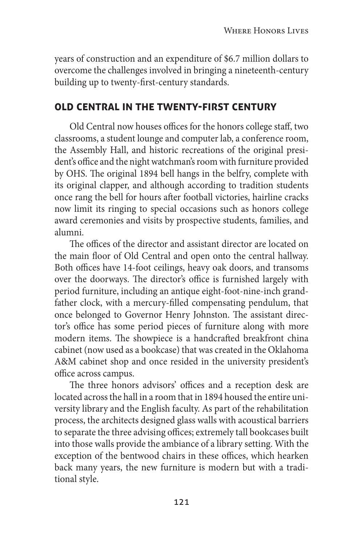years of construction and an expenditure of \$6.7 million dollars to overcome the challenges involved in bringing a nineteenth-century building up to twenty-first-century standards.

#### **old central in the twenty-first century**

Old Central now houses offices for the honors college staff, two classrooms, a student lounge and computer lab, a conference room, the Assembly Hall, and historic recreations of the original president's office and the night watchman's room with furniture provided by OHS. The original 1894 bell hangs in the belfry, complete with its original clapper, and although according to tradition students once rang the bell for hours after football victories, hairline cracks now limit its ringing to special occasions such as honors college award ceremonies and visits by prospective students, families, and alumni.

The offices of the director and assistant director are located on the main floor of Old Central and open onto the central hallway. Both offices have 14-foot ceilings, heavy oak doors, and transoms over the doorways. The director's office is furnished largely with period furniture, including an antique eight-foot-nine-inch grandfather clock, with a mercury-filled compensating pendulum, that once belonged to Governor Henry Johnston. The assistant director's office has some period pieces of furniture along with more modern items. The showpiece is a handcrafted breakfront china cabinet (now used as a bookcase) that was created in the Oklahoma A&M cabinet shop and once resided in the university president's office across campus.

The three honors advisors' offices and a reception desk are located across the hall in a room that in 1894 housed the entire university library and the English faculty. As part of the rehabilitation process, the architects designed glass walls with acoustical barriers to separate the three advising offices; extremely tall bookcases built into those walls provide the ambiance of a library setting. With the exception of the bentwood chairs in these offices, which hearken back many years, the new furniture is modern but with a traditional style.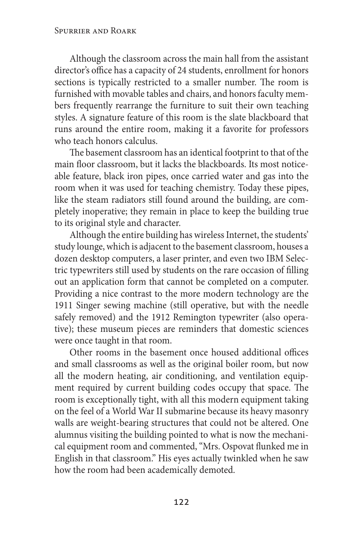Although the classroom across the main hall from the assistant director's office has a capacity of 24 students, enrollment for honors sections is typically restricted to a smaller number. The room is furnished with movable tables and chairs, and honors faculty members frequently rearrange the furniture to suit their own teaching styles. A signature feature of this room is the slate blackboard that runs around the entire room, making it a favorite for professors who teach honors calculus.

The basement classroom has an identical footprint to that of the main floor classroom, but it lacks the blackboards. Its most noticeable feature, black iron pipes, once carried water and gas into the room when it was used for teaching chemistry. Today these pipes, like the steam radiators still found around the building, are completely inoperative; they remain in place to keep the building true to its original style and character.

Although the entire building has wireless Internet, the students' study lounge, which is adjacent to the basement classroom, houses a dozen desktop computers, a laser printer, and even two IBM Selectric typewriters still used by students on the rare occasion of filling out an application form that cannot be completed on a computer. Providing a nice contrast to the more modern technology are the 1911 Singer sewing machine (still operative, but with the needle safely removed) and the 1912 Remington typewriter (also operative); these museum pieces are reminders that domestic sciences were once taught in that room.

Other rooms in the basement once housed additional offices and small classrooms as well as the original boiler room, but now all the modern heating, air conditioning, and ventilation equipment required by current building codes occupy that space. The room is exceptionally tight, with all this modern equipment taking on the feel of a World War II submarine because its heavy masonry walls are weight-bearing structures that could not be altered. One alumnus visiting the building pointed to what is now the mechanical equipment room and commented, "Mrs. Ospovat flunked me in English in that classroom." His eyes actually twinkled when he saw how the room had been academically demoted.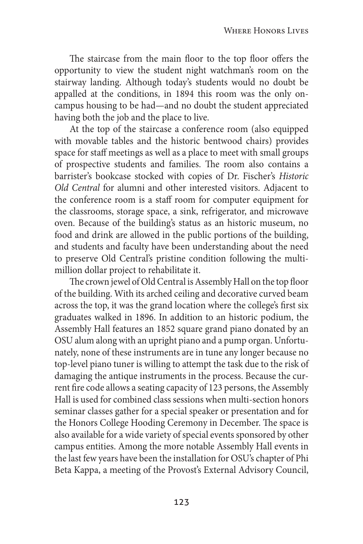The staircase from the main floor to the top floor offers the opportunity to view the student night watchman's room on the stairway landing. Although today's students would no doubt be appalled at the conditions, in 1894 this room was the only oncampus housing to be had—and no doubt the student appreciated having both the job and the place to live.

At the top of the staircase a conference room (also equipped with movable tables and the historic bentwood chairs) provides space for staff meetings as well as a place to meet with small groups of prospective students and families. The room also contains a barrister's bookcase stocked with copies of Dr. Fischer's *Historic Old Central* for alumni and other interested visitors. Adjacent to the conference room is a staff room for computer equipment for the classrooms, storage space, a sink, refrigerator, and microwave oven. Because of the building's status as an historic museum, no food and drink are allowed in the public portions of the building, and students and faculty have been understanding about the need to preserve Old Central's pristine condition following the multimillion dollar project to rehabilitate it.

The crown jewel of Old Central is Assembly Hall on the top floor of the building. With its arched ceiling and decorative curved beam across the top, it was the grand location where the college's first six graduates walked in 1896. In addition to an historic podium, the Assembly Hall features an 1852 square grand piano donated by an OSU alum along with an upright piano and a pump organ. Unfortunately, none of these instruments are in tune any longer because no top-level piano tuner is willing to attempt the task due to the risk of damaging the antique instruments in the process. Because the current fire code allows a seating capacity of 123 persons, the Assembly Hall is used for combined class sessions when multi-section honors seminar classes gather for a special speaker or presentation and for the Honors College Hooding Ceremony in December. The space is also available for a wide variety of special events sponsored by other campus entities. Among the more notable Assembly Hall events in the last few years have been the installation for OSU's chapter of Phi Beta Kappa, a meeting of the Provost's External Advisory Council,